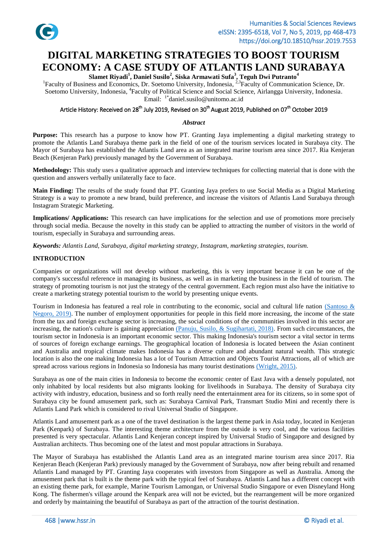

# **DIGITAL MARKETING STRATEGIES TO BOOST TOURISM ECONOMY: A CASE STUDY OF ATLANTIS LAND SURABAYA**

**Slamet Riyadi<sup>1</sup>, Daniel Susilo<sup>2</sup>, Siska Armawati Sufa<sup>3</sup>, Teguh Dwi Putranto<sup>4</sup><br><sup>1</sup>Faculty of Business and Economics, Dr. Soetomo University, Indonesia, <sup>2,3</sup>Faculty of Communication Science, Dr.** Soetomo University, Indonesia, <sup>4</sup>Faculty of Political Science and Social Science, Airlangga University, Indonesia. Email: 1\*[daniel.susilo@unitomo.ac.id](mailto:daniel.susilo@unitomo.ac.id)

# Article History: Received on 28<sup>th</sup> July 2019, Revised on 30<sup>th</sup> August 2019, Published on 07<sup>th</sup> October 2019

#### *Abstract*

**Purpose:** This research has a purpose to know how PT. Granting Jaya implementing a digital marketing strategy to promote the Atlantis Land Surabaya theme park in the field of one of the tourism services located in Surabaya city. The Mayor of Surabaya has established the Atlantis Land area as an integrated marine tourism area since 2017. Ria Kenjeran Beach (Kenjeran Park) previously managed by the Government of Surabaya.

**Methodology:** This study uses a qualitative approach and interview techniques for collecting material that is done with the question and answers verbally unilaterally face to face.

**Main Finding:** The results of the study found that PT. Granting Jaya prefers to use Social Media as a Digital Marketing Strategy is a way to promote a new brand, build preference, and increase the visitors of Atlantis Land Surabaya through Instagram Strategic Marketing.

**Implications/ Applications:** This research can have implications for the selection and use of promotions more precisely through social media. Because the novelty in this study can be applied to attracting the number of visitors in the world of tourism, especially in Surabaya and surrounding areas.

*Keywords: Atlantis Land, Surabaya, digital marketing strategy, Instagram, marketing strategies, tourism.*

#### **INTRODUCTION**

Companies or organizations will not develop without marketing, this is very important because it can be one of the company's successful reference in managing its business, as well as in marketing the business in the field of tourism. The strategy of promoting tourism is not just the strategy of the central government. Each region must also have the initiative to create a marketing strategy potential tourism to the world by presenting unique events.

Tourism in Indonesia has featured a real role in contributing to the economic, social and cultural life nation (Santoso  $\&$ Negoro, 2019). The number of employment opportunities for people in this field more increasing, the income of the state from the tax and foreign exchange sector is increasing, the social conditions of the communities involved in this sector are increasing, the nation's culture is gaining appreciation  $(Panui, Susilo, \& Sugihartati, 2018)$ . From such circumstances, the tourism sector in Indonesia is an important economic sector. This making Indonesia's tourism sector a vital sector in terms of sources of foreign exchange earnings. The geographical location of Indonesia is located between the Asian continent and Australia and tropical climate makes Indonesia has a diverse culture and abundant natural wealth. This strategic location is also the one making Indonesia has a lot of Tourism Attraction and Objects Tourist Attractions, all of which are spread across various regions in Indonesia so Indonesia has many tourist destinations [\(Wright, 2015\).](#page-5-2)

Surabaya as one of the main cities in Indonesia to become the economic center of East Java with a densely populated, not only inhabited by local residents but also migrants looking for livelihoods in Surabaya. The density of Surabaya city activity with industry, education, business and so forth really need the entertainment area for its citizens, so in some spot of Surabaya city be found amusement park, such as: Surabaya Carnival Park, Transmart Studio Mini and recently there is Atlantis Land Park which is considered to rival Universal Studio of Singapore.

Atlantis Land amusement park as a one of the travel destination is the largest theme park in Asia today, located in Kenjeran Park (Kenpark) of Surabaya. The interesting theme architecture from the outside is very cool, and the various facilities presented is very spectacular. Atlantis Land Kenjeran concept inspired by Universal Studio of Singapore and designed by Australian architects. Thus becoming one of the latest and most popular attractions in Surabaya.

The Mayor of Surabaya has established the Atlantis Land area as an integrated marine tourism area since 2017. Ria Kenjeran Beach (Kenjeran Park) previously managed by the Government of Surabaya, now after being rebuilt and renamed Atlantis Land managed by PT. Granting Jaya cooperates with investors from Singapore as well as Australia. Among the amusement park that is built is the theme park with the typical feel of Surabaya. Atlantis Land has a different concept with an existing theme park, for example, Marine Tourism Lamongan, or Universal Studio Singapore or even Disneyland Hong Kong. The fishermen's village around the Kenpark area will not be evicted, but the rearrangement will be more organized and orderly by maintaining the beautiful of Surabaya as part of the attraction of the tourist destination.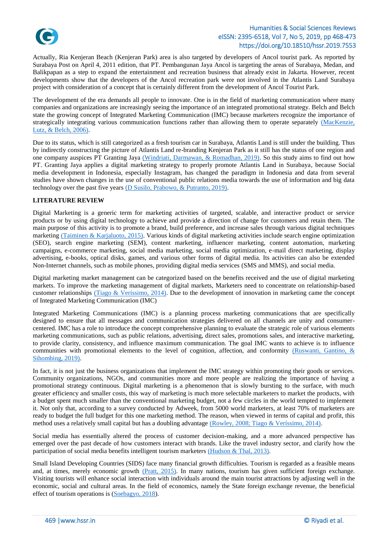

Actually, Ria Kenjeran Beach (Kenjeran Park) area is also targeted by developers of Ancol tourist park. As reported by Surabaya Post on April 4, 2011 edition, that PT. Pembangunan Jaya Ancol is targeting the areas of Surabaya, Medan, and Balikpapan as a step to expand the entertainment and recreation business that already exist in Jakarta. However, recent developments show that the developers of the Ancol recreation park were not involved in the Atlantis Land Surabaya project with consideration of a concept that is certainly different from the development of Ancol Tourist Park.

The development of the era demands all people to innovate. One is in the field of marketing communication where many companies and organizations are increasingly seeing the importance of an integrated promotional strategy. Belch and Belch state the growing concept of Integrated Marketing Communication (IMC) because marketers recognize the importance of strategically integrating various communication functions rather than allowing them to operate separately [\(MacKenzie,](#page-5-3)  Lutz, & Belch, 2006).

Due to its status, which is still categorized as a fresh tourism car in Surabaya, Atlantis Land is still under the building. Thus by indirectly constructing the picture of Atlantis Land re-branding Kenjeran Park as it still has the status of one region and one company auspices PT Granting Jaya [\(Windriati, Darmawan, & Romadhan, 2019\).](#page-5-4) So this study aims to find out how PT. Granting Jaya applies a digital marketing strategy to properly promote Atlantis Land in Surabaya, because Social media development in Indonesia, especially Instagram, has changed the paradigm in Indonesia and data from several studies have shown changes in the use of conventional public relations media towards the use of information and big data technology over the past five years [\(D Susilo, Prabowo, & Putranto, 2019\).](#page-5-5)

# **LITERATURE REVIEW**

Digital Marketing is a generic term for marketing activities of targeted, scalable, and interactive product or service products or by using digital technology to achieve and provide a direction of change for customers and retain them. The main purpose of this activity is to promote a brand, build preference, and increase sales through various digital techniques marketing [\(Taiminen & Karjaluoto, 2015\).](#page-5-6) Various kinds of digital marketing activities include search engine optimization (SEO), search engine marketing (SEM), content marketing, influencer marketing, content automation, marketing campaigns, e-commerce marketing, social media marketing, social media optimization, e-mail direct marketing, display advertising, e-books, optical disks, games, and various other forms of digital media. Its activities can also be extended Non-Internet channels, such as mobile phones, providing digital media services (SMS and MMS), and social media.

Digital marketing market management can be categorized based on the benefits received and the use of digital marketing markets. To improve the marketing management of digital markets, Marketers need to concentrate on relationship-based customer relationships [\(Tiago & Veríssimo, 2014\).](#page-5-7) Due to the development of innovation in marketing came the concept of Integrated Marketing Communication (IMC)

Integrated Marketing Communications (IMC) is a planning process marketing communications that are specifically designed to ensure that all messages and communication strategies delivered on all channels are unity and consumercentered. IMC has a role to introduce the concept comprehensive planning to evaluate the strategic role of various elements marketing communications, such as public relations, advertising, direct sales, promotions sales, and interactive marketing, to provide clarity, consistency, and influence maximum communication. The goal IMC wants to achieve is to influence communities with promotional elements to the level of cognition, affection, and conformity [\(Ruswanti, Gantino, &](#page-5-8)  Sihombing, 2019).

In fact, it is not just the business organizations that implement the IMC strategy within promoting their goods or services. Community organizations, NGOs, and communities more and more people are realizing the importance of having a promotional strategy continuous. Digital marketing is a phenomenon that is slowly bursting to the surface, with much greater efficiency and smaller costs, this way of marketing is much more selectable marketers to market the products, with a budget spent much smaller than the conventional marketing budget, not a few circles in the world tempted to implement it. Not only that, according to a survey conducted by Adweek, from 5000 world marketers, at least 70% of marketers are ready to budget the full budget for this one marketing method. The reason, when viewed in terms of capital and profit, this method uses a relatively small capital but has a doubling advantage [\(Rowley, 2008; Tiago & Veríssimo, 2014\).](#page-5-9)

Social media has essentially altered the process of customer decision-making, and a more advanced perspective has emerged over the past decade of how customers interact with brands. Like the travel industry sector, and clarify how the participation of social media benefits intelligent tourism marketers [\(Hudson & Thal, 2013\).](#page-5-3)

Small Island Developing Countries (SIDS) face many financial growth difficulties. Tourism is regarded as a feasible means and, at times, merely economic growth [\(Pratt, 2015\).](#page-5-10) In many nations, tourism has given sufficient foreign exchange. Visiting tourists will enhance social interaction with individuals around the main tourist attractions by adjusting well in the economic, social and cultural areas. In the field of economics, namely the State foreign exchange revenue, the beneficial effect of tourism operations is [\(Soebagyo, 2018\)](#page-5-11).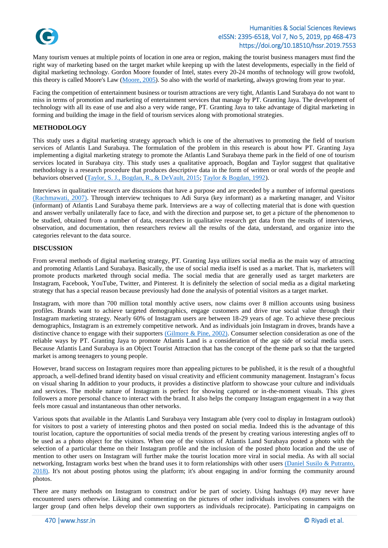

# Humanities & Social Sciences Reviews eISSN: 2395-6518, Vol 7, No 5, 2019, pp 468-473 https://doi.org/10.18510/hssr.2019.7553

Many tourism venues at multiple points of location in one area or region, making the tourist business managers must find the right way of marketing based on the target market while keeping up with the latest developments, especially in the field of digital marketing technology. Gordon Moore founder of Intel, states every 20-24 months of technology will grow twofold, this theory is called Moore's Law [\(Moore, 2005\)](#page-5-12). So also with the world of marketing, always growing from year to year.

Facing the competition of entertainment business or tourism attractions are very tight, Atlantis Land Surabaya do not want to miss in terms of promotion and marketing of entertainment services that manage by PT. Granting Jaya. The development of technology with all its ease of use and also a very wide range, PT. Granting Jaya to take advantage of digital marketing in forming and building the image in the field of tourism services along with promotional strategies.

#### **METHODOLOGY**

This study uses a digital marketing strategy approach which is one of the alternatives to promoting the field of tourism services of Atlantis Land Surabaya. The formulation of the problem in this research is about how PT. Granting Jaya implementing a digital marketing strategy to promote the Atlantis Land Surabaya theme park in the field of one of tourism services located in Surabaya city. This study uses a qualitative approach, Bogdan and Taylor suggest that qualitative methodology is a research procedure that produces descriptive data in the form of written or oral words of the people and behaviors observed [\(Taylor, S. J., Bogdan, R., & DeVault, 2015;](#page-5-13) [Taylor & Bogdan, 1992\)](#page-5-14).

Interviews in qualitative research are discussions that have a purpose and are preceded by a number of informal questions [\(Rachmawati, 2007\).](#page-5-15) Through interview techniques to Adi Surya (key informant) as a marketing manager, and Visitor (informant) of Atlantis Land Surabaya theme park. Interviews are a way of collecting material that is done with question and answer verbally unilaterally face to face, and with the direction and purpose set, to get a picture of the phenomenon to be studied, obtained from a number of data, researchers in qualitative research get data from the results of interviews, observation, and documentation, then researchers review all the results of the data, understand, and organize into the categories relevant to the data source.

#### **DISCUSSION**

From several methods of digital marketing strategy, PT. Granting Jaya utilizes social media as the main way of attracting and promoting Atlantis Land Surabaya. Basically, the use of social media itself is used as a market. That is, marketers will promote products marketed through social media. The social media that are generally used as target marketers are Instagram, Facebook, YouTube, Twitter, and Pinterest. It is definitely the selection of social media as a digital marketing strategy that has a special reason because previously had done the analysis of potential visitors as a target market.

Instagram, with more than 700 million total monthly active users, now claims over 8 million accounts using business profiles. Brands want to achieve targeted demographics, engage customers and drive true social value through their Instagram marketing strategy. Nearly 60% of Instagram users are between 18-29 years of age. To achieve these precious demographics, Instagram is an extremely competitive network. And as individuals join Instagram in droves, brands have a distinctive chance to engage with their supporters  $\frac{\text{Gilmore} \& \text{Pine, } 2002)}{\text{Consumer selection consideration}}$  as one of the reliable ways by PT. Granting Jaya to promote Atlantis Land is a consideration of the age side of social media users. Because Atlantis Land Surabaya is an Object Tourist Attraction that has the concept of the theme park so that the targeted market is among teenagers to young people.

However, brand success on Instagram requires more than appealing pictures to be published, it is the result of a thoughtful approach, a well-defined brand identity based on visual creativity and efficient community management. Instagram's focus on visual sharing In addition to your products, it provides a distinctive platform to showcase your culture and individuals and services. The mobile nature of Instagram is perfect for showing captured or in-the-moment visuals. This gives followers a more personal chance to interact with the brand. It also helps the company Instagram engagement in a way that feels more casual and instantaneous than other networks.

Various spots that available in the Atlantis Land Surabaya very Instagram able (very cool to display in Instagram outlook) for visitors to post a variety of interesting photos and then posted on social media. Indeed this is the advantage of this tourist location, capture the opportunities of social media trends of the present by creating various interesting angles off to be used as a photo object for the visitors. When one of the visitors of Atlantis Land Surabaya posted a photo with the selection of a particular theme on their Instagram profile and the inclusion of the posted photo location and the use of mention to other users on Instagram will further make the tourist location more viral in social media. As with all social networking, Instagram works best when the brand uses it to form relationships with other users [\(Daniel Susilo & Putranto,](#page-5-5)  2018). It's not about posting photos using the platform; it's about engaging in and/or forming the community around photos.

There are many methods on Instagram to construct and/or be part of society. Using hashtags (#) may never have encountered users otherwise. Liking and commenting on the pictures of other individuals involves consumers with the larger group (and often helps develop their own supporters as individuals reciprocate). Participating in campaigns on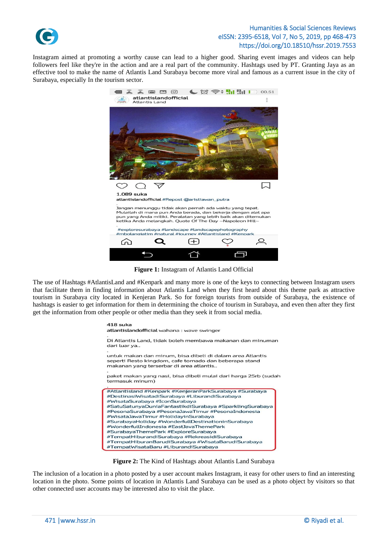

# Humanities & Social Sciences Reviews eISSN: 2395-6518, Vol 7, No 5, 2019, pp 468-473 https://doi.org/10.18510/hssr.2019.7553

Instagram aimed at promoting a worthy cause can lead to a higher good. Sharing event images and videos can help followers feel like they're in the action and are a real part of the community. Hashtags used by PT. Granting Jaya as an effective tool to make the name of Atlantis Land Surabaya become more viral and famous as a current issue in the city of Surabaya, especially In the tourism sector.



**Figure 1:** Instagram of Atlantis Land Official

The use of Hashtags #AtlantisLand and #Kenpark and many more is one of the keys to connecting between Instagram users that facilitate them in finding information about Atlantis Land when they first heard about this theme park as attractive tourism in Surabaya city located in Kenjeran Park. So for foreign tourists from outside of Surabaya, the existence of hashtags is easier to get information for them in determining the choice of tourism in Surabaya, and even then after they first get the information from other people or other media than they seek it from social media.

> 418 suka atlantislandofficial wahana : wave swinger Di Atlantis Land, tidak boleh membawa makanan dan minuman dari luar ya. untuk makan dan minum, bisa dibeli di dalam area Atlantis seperti Resto kingdom, cafe tornado dan beberapa stand makanan yang terserbar di area atlantis.. paket makan yang nasi, bisa dibeli mulai dari harga 25rb (sudah termasuk minum) #Atlantisland #Kenpark #KenjeranParkSurabaya #Surabaya #DestinasiWisatadiSurabaya #LiburandiSurabaya #WisataSurabaya #IconSurabaya #SatuSatunyaDuniaFantastikdiSurabaya #SparklingSurabaya #PesonaSurabaya #PesonaJawaTimur #PesonaIndonesia #WisataJawaTimur #HolidayinSurabaya #SurabayaHoliday #WonderfullDestinationinSurabaya #WonderfullIndonesia #EastJavaThemePark #SurabayaThemePark #ExploreSurabaya #TempatHiburandiSurabaya #RekreasidiSurabaya #TempatHiburanBarudiSurabaya #WisataBarudiSurabaya #TempatWisataBaru #LiburandiSurabaya



The inclusion of a location in a photo posted by a user account makes Instagram, it easy for other users to find an interesting location in the photo. Some points of location in Atlantis Land Surabaya can be used as a photo object by visitors so that other connected user accounts may be interested also to visit the place.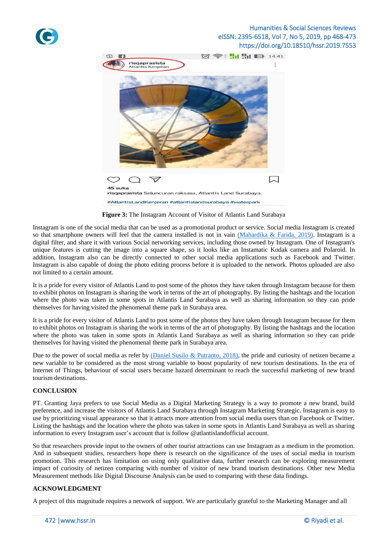

# Humanities & Social Sciences Reviews eISSN: 2395-6518, Vol 7, No 5, 2019, pp 468-473 https://doi.org/10.18510/hssr.2019.7553



**Figure 3:** The Instagram Account of Visitor of Atlantis Land Surabaya

Instagram is one of the social media that can be used as a promotional product or service. Social media Instagram is created so that smartphone owners will feel that the camera installed is not in vain [\(Mahardika & Farida, 2019\).](#page-5-17) Instagram is a digital filter, and share it with various Social networking services, including those owned by Instagram. One of Instagram's unique features is cutting the image into a square shape, so it looks like an Instamatic Kodak camera and Polaroid. In addition, Instagram also can be directly connected to other social media applications such as Facebook and Twitter. Instagram is also capable of doing the photo editing process before it is uploaded to the network. Photos uploaded are also not limited to a certain amount.

It is a pride for every visitor of Atlantis Land to post some of the photos they have taken through Instagram because for them to exhibit photos on Instagram is sharing the work in terms of the art of photography. By listing the hashtags and the location where the photo was taken in some spots in Atlantis Land Surabaya as well as sharing information so they can pride themselves for having visited the phenomenal theme park in Surabaya area.

It is a pride for every visitor of Atlantis Land to post some of the photos they have taken through Instagram because for them to exhibit photos on Instagram is sharing the work in terms of the art of photography. By listing the hashtags and the location where the photo was taken in some spots in Atlantis Land Surabaya as well as sharing information so they can pride themselves for having visited the phenomenal theme park in Surabaya area.

Due to the power of social media as refer by  $(Daniel Susilo & Putranto, 2018)$ , the pride and curiosity of netizen became a new variable to be considered as the most strong variable to boost popularity of new tourism destinations. In the era of Internet of Things, behaviour of social users became hazard determinant to reach the successful marketing of new brand tourism destinations.

# **CONCLUSION**

PT. Granting Jaya prefers to use Social Media as a Digital Marketing Strategy is a way to promote a new brand, build preference, and increase the visitors of Atlantis Land Surabaya through Instagram Marketing Strategic. Instagram is easy to use by prioritizing visual appearance so that it attracts more attention from social media users than on Facebook or Twitter. Listing the hashtags and the location where the photo was taken in some spots in Atlantis Land Surabaya as well as sharing information to every Instagram user's account that is follow @atlantislandofficial account.

So that researchers provide input to the owners of other tourist attractions can use Instagram as a medium in the promotion. And in subsequent studies, researchers hope there is research on the significance of the uses of social media in tourism promotion. This research has limitation on using only qualitative data, further research can be exploring measurement impact of curiosity of netizen comparing with number of visitor of new brand tourism destinations. Other new Media Measurement methods like Digital Discourse Analysis can be used to comparing with these data findings.

# **ACKNOWLEDGMENT**

A project of this magnitude requires a network of support. We are particularly grateful to the Marketing Manager and all